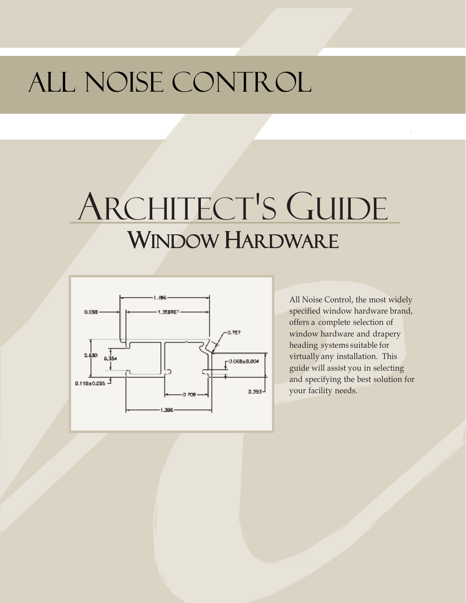# ALL NOISE CONTROL

# ARCHITECT'S GUIDE WINDOW HARDWARE



All Noise Control, the most widely specified window hardware brand, offers a complete selection of window hardware and drapery heading systems suitable for virtually any installation. This guide will assist you in selecting and specifying the best solution for your facility needs.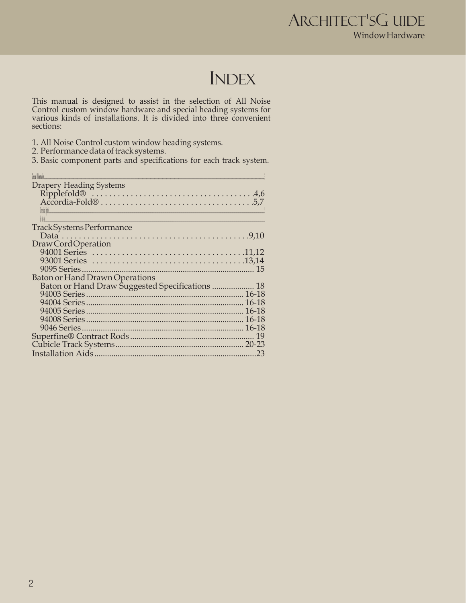### **INDEX**

This manual is designed to assist in the selection of All Noise<br>Control custom window hardware and special heading systems for<br>various kinds of installations. It is divided into three convenient sections:

3. Basic component parts and specifications for each track system.

| Fees Internation                                |     |
|-------------------------------------------------|-----|
| <b>Drapery Heading Systems</b>                  |     |
|                                                 |     |
|                                                 |     |
| <b>Credit Hotel</b>                             |     |
|                                                 |     |
| Track Systems Performance                       |     |
|                                                 |     |
| Draw Cord Operation                             |     |
|                                                 |     |
|                                                 |     |
|                                                 |     |
| <b>Baton or Hand Drawn Operations</b>           |     |
| Baton or Hand Draw Suggested Specifications  18 |     |
|                                                 |     |
|                                                 |     |
|                                                 |     |
|                                                 |     |
|                                                 |     |
|                                                 |     |
|                                                 |     |
|                                                 | .23 |
|                                                 |     |

<sup>1.</sup> All Noise Control custom window heading systems.<br>2. Performance data of track systems.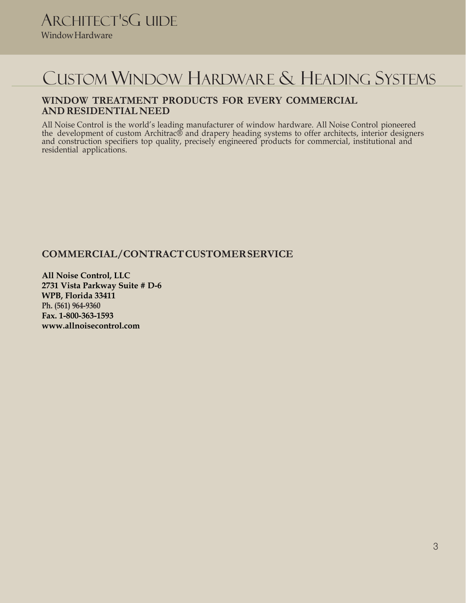### CUSTOM WINDOW HARDWARE & HEADING SYSTEMS

### **WINDOW TREATMENT PRODUCTS FOR EVERY COMMERCIAL AND RESIDENTIAL NEED**

All Noise Control is the world's leading manufacturer of window hardware. All Noise Control pioneered the development of custom Architrac® and drapery heading systems to offer architects, interior designers and construction specifiers top quality, precisely engineered products for commercial, institutional and residential applications.

### **COMMERCIAL/CONTRACT CUSTOMER SERVICE**

**All Noise Control, LLC 2731 Vista Parkway Suite # D-6 WPB, Florida 33411 Ph. (561) 964-9360 Fax. 1-800-363-1593 www.allnoisecontrol.com**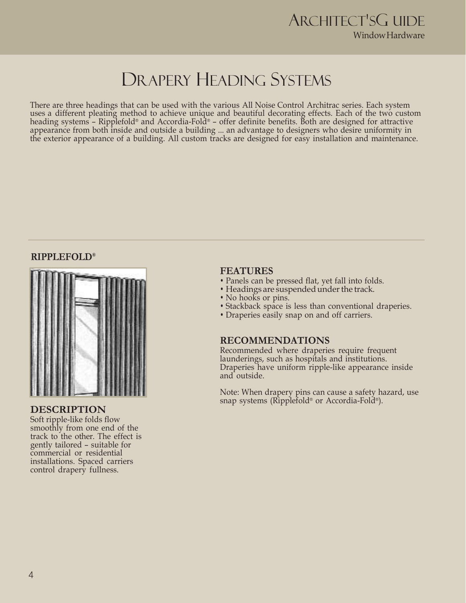### DRAPERY HEADING SYSTEMS

There are three headings that can be used with the various All Noise Control Architrac series. Each system uses a different pleating method to achieve unique and beautiful decorating effects. Each of the two custom heading systems – Ripplefold® and Accordia-Fold® – offer definite benefits. Both are designed for attractive appearance from both inside and outside a building ... an advantage to designers who desire uniformity in the exterior appearance of a building. All custom tracks are designed for easy installation and maintenance.

### **RIPPLEFOLD®**



### **DESCRIPTION**

Soft ripple-like folds flow smoothly from one end of the track to the other. The effect is gently tailored – suitable for commercial or residential installations. Spaced carriers control drapery fullness.

### **FEATURES**

- Panels can be pressed flat, yet fall into folds.
- Headings are suspended under the track.
- No hooks or pins.
- Stackback space is less than conventional draperies.
- Draperies easily snap on and off carriers.

### **RECOMMENDATIONS**

Recommended where draperies require frequent launderings, such as hospitals and institutions. Draperies have uniform ripple-like appearance inside and outside.

Note: When drapery pins can cause a safety hazard, use snap systems (Ripplefold® or Accordia-Fold® ).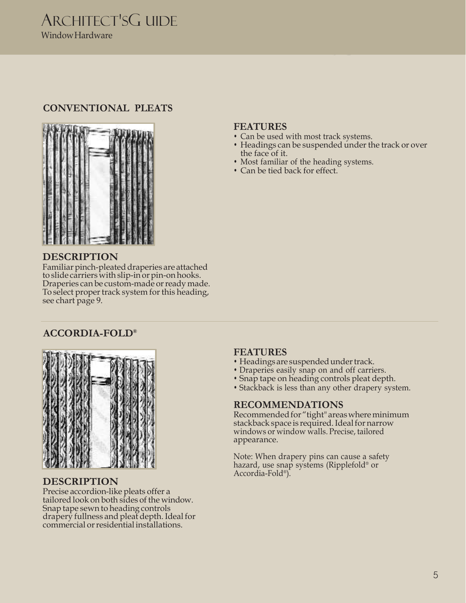### **CONVENTIONAL PLEATS**



### **DESCRIPTION**

Familiar pinch-pleated draperies are attached to slide carriers with slip-in or pin-on hooks. Draperies can be custom-made or ready made. To select proper track system for this heading, see chart page 9.

### **ACCORDIA-FOLD®**



### **DESCRIPTION**

Precise accordion-like pleats offer a tailored look on both sides of the window. Snap tape sewn to heading controls drapery fullness and pleat depth. Ideal for commercial or residential installations.

### **FEATURES**

- Can be used with most track systems.
- Headings can be suspended under the track or over the face of it.
- Most familiar of the heading systems.
- Can be tied back for effect.

### **FEATURES**

- Headings are suspended under track.
- Draperies easily snap on and off carriers.
- Snap tape on heading controls pleat depth.
- Stackback is less than any other drapery system.

### **RECOMMENDATIONS**

Recommended for "tight" areas where minimum stackback space is required. Ideal for narrow windows or window walls. Precise, tailored appearance.

Note: When drapery pins can cause a safety hazard, use snap systems (Ripplefold® or Accordia-Fold® ).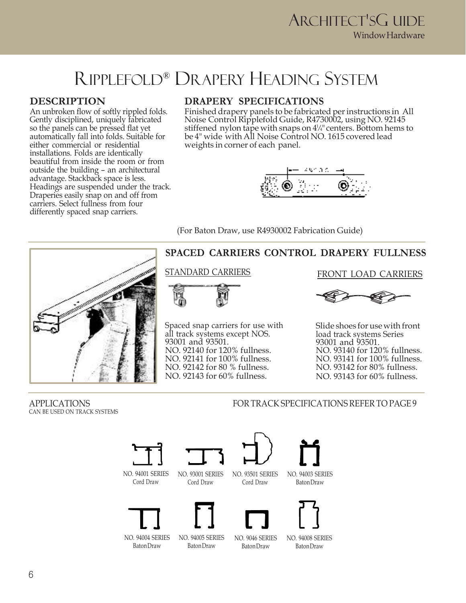### RIPPLEFOLD® DRAPERY HEADING SYSTEM

### **DESCRIPTION**

An unbroken flow of softly rippled folds. Gently disciplined, uniquely fabricated so the panels can be pressed flat yet automatically fall into folds. Suitable for either commercial or residential installations. Folds are identically beautiful from inside the room or from outside the building – an architectural advantage. Stackback space is less. Headings are suspended under the track. Draperies easily snap on and off from carriers. Select fullness from four differently spaced snap carriers.

### **DRAPERY SPECIFICATIONS**

Finished drapery panels to be fabricated per instructions in All Noise Control Ripplefold Guide, R4730002, using NO. 92145 stiffened nylon tape with snaps on 4<sup>1</sup> */*4" centers. Bottom hems to be 4" wide with All Noise Control NO. 1615 covered lead weights in corner of each panel.



(For Baton Draw, use R4930002 Fabrication Guide)



### **SPACED CARRIERS CONTROL DRAPERY FULLNESS**



Spaced snap carriers for use with all track systems except NOS. 93001 and 93501. NO. 92140 for 120% fullness. NO. 92141 for 100% fullness. NO. 92142 for 80 % fullness. NO. 92143 for 60% fullness.

### STANDARD CARRIERS FRONT LOAD CARRIERS



Slide shoes for use with front load track systems Series 93001 and 93501. NO. 93140 for 120% fullness. NO. 93141 for 100% fullness. NO. 93142 for 80% fullness. NO. 93143 for 60% fullness.

CAN BE USED ON TRACK SYSTEMS

APPLICATIONS FOR TRACK SPECIFICATIONS REFER TO PAGE 9

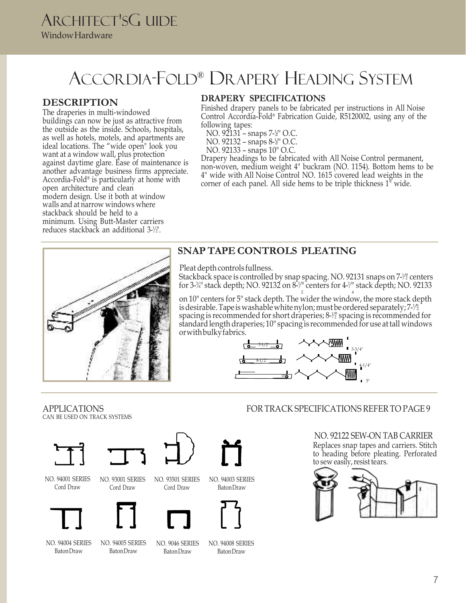### ACCORDIA-FOLD® DRAPERY HEADING SYSTEM

### **DESCRIPTION**

reduces stackback an additional 3-1/2". The draperies in multi-windowed buildings can now be just as attractive from the outside as the inside. Schools, hospitals, as well as hotels, motels, and apartments are ideal locations. The "wide open" look you want at a window wall, plus protection against daytime glare. Ease of maintenance is another advantage business firms appreciate. Accordia-Fold® is particularly at home with open architecture and clean modern design. Use it both at window walls and at narrow windows where stackback should be held to a minimum. Using Butt-Master carriers

### **DRAPERY SPECIFICATIONS**

Finished drapery panels to be fabricated per instructions in All Noise Control Accordia-Fold® Fabrication Guide, R5120002, using any of the following tapes:

- NO. 92131 snaps 7-½" O.C.
- NO. 92132 snaps 8-½" O.C.
- NO. 92133 snaps 10" O.C.

Drapery headings to be fabricated with All Noise Control permanent, non-woven, medium weight 4" buckram (NO. 1154). Bottom hems to be 4" wide with All Noise Control NO. 1615 covered lead weights in the corner of each panel. All side hems to be triple thickness  $1^{\degree}$  wide.



### **SNAP TAPE CONTROLS PLEATING**

Pleat depth controls fullness.

Stackback space is controlled by snap spacing. NO. 92131 snaps on 7-½ centers for 3-¾" stack depth; NO. 92132 on 8-¼" centers for 4-¼" stack depth; NO. 92133

is desirable. Tape is washable white nylon; must be ordered separately; 7-1/2 is desirable. Tape is washable white nylon; must be ordered separately; 7-½<br>spacing is recommended for short draperies; 8-½ spacing is recommended for 2 4 on 10" centers for 5" stack depth. The wider the window, the more stack depth standard length draperies; 10" spacing is recommended for use at tall windows or with bulky fabrics.



### APPLICATIONS FOR TRACK SPECIFICATIONS REFER TO PAGE 9

CAN BE USED ON TRACK SYSTEMS





NO. 94001 SERIES Cord Draw



NO. 94004 SERIES Baton Draw



NO. 94005 SERIES Baton Draw

NO. 93501 SERIES Cord Draw

> NO. 9046 SERIES Baton Draw



NO. 94008 SERIES Baton Draw

NO. 94003 SERIES Baton Draw

NO. 92122 SEW-ON TAB CARRIER Replaces snap tapes and carriers. Stitch to heading before pleating. Perforated to sew easily, resist tears.

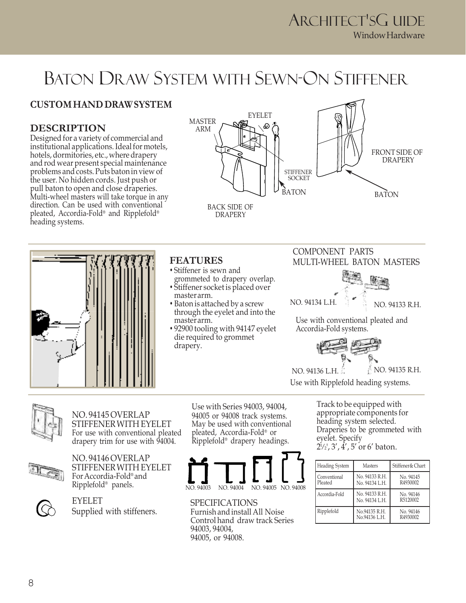## BATON DRAW SYSTEM WITH SEWN-ON STIFFENER

### **CUSTOM HAND DRAW SYSTEM**

### **DESCRIPTION**

Designed for a variety of commercial and institutional applications. Ideal for motels, hotels, dormitories, etc., where drapery and rod wear present special maintenance problems and costs. Puts baton in view of the user. No hidden cords. Just push or pull baton to open and close draperies. Multi-wheel masters will take torque in any direction. Can be used with conventional pleated, Accordia-Fold® and Ripplefold® heading systems.



DRAPERY





### **FEATURES**

- Stiffener is sewn and grommeted to drapery overlap.
- Stiffener socket is placed over master arm.
- Baton is attached by a screw through the eyelet and into the master arm.
- 92900 tooling with 94147 eyelet die required to grommet drapery.

### COMPONENT PARTS MULTI-WHEEL BATON MASTERS



Use with conventional pleated and Accordia-Fold systems.



Use with Ripplefold heading systems.



NO. 94145 OVERLAP STIFFENER WITH EYELET For use with conventional pleated drapery trim for use with 94004.



NO. 94146 OVERLAP STIFFENER WITH EYELET For Accordia-Fold® and Ripplefold® panels.



EYELET Supplied with stiffeners.

Use with Series 94003, 94004, 94005 or 94008 track systems. May be used with conventional pleated, Accordia-Fold® or Ripplefold® drapery headings.



SPECIFICATIONS Furnish and install All Noise Control hand draw track Series 94003, 94004, 94005, or 94008.

Track to be equipped with appropriate components for heading system selected. Draperies to be grommeted with eyelet. Specify 2 1 */* 2', 3', 4', 5' or 6' baton.

| <b>Heading System</b>   | Masters                          | Stiffener & Chart     |
|-------------------------|----------------------------------|-----------------------|
| Conventional<br>Pleated | No. 94133 R.H.<br>No. 94134 L.H. | No. 94145<br>R4930002 |
| Accordia-Fold           | No. 94133 R.H.<br>No. 94134 L.H. | No. 94146<br>R5120002 |
| Ripplefold              | No.94135 R.H.<br>No.94136 L.H.   | No. 94146<br>R4930002 |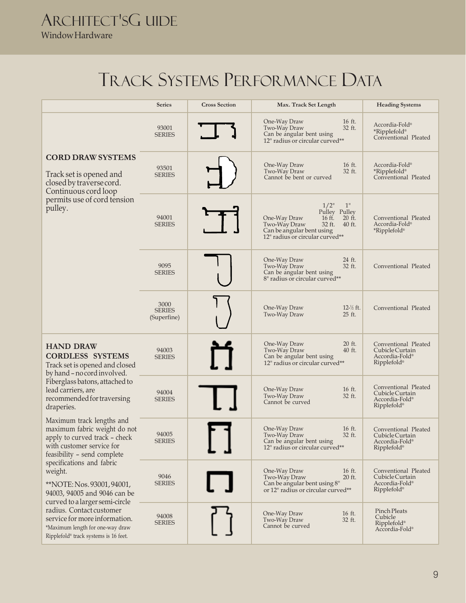## TRACK SYSTEMS PERFORMANCE DATA

|                                                                                                                                                                                                                                                                                                                                                                                                                                                      | <b>Series</b>                        | <b>Cross Section</b> | Max. Track Set Length                                                                                                                                                    | <b>Heading Systems</b>                                                                           |
|------------------------------------------------------------------------------------------------------------------------------------------------------------------------------------------------------------------------------------------------------------------------------------------------------------------------------------------------------------------------------------------------------------------------------------------------------|--------------------------------------|----------------------|--------------------------------------------------------------------------------------------------------------------------------------------------------------------------|--------------------------------------------------------------------------------------------------|
|                                                                                                                                                                                                                                                                                                                                                                                                                                                      | 93001<br><b>SERIES</b>               |                      | 16 ft.<br>One-Way Draw<br>32 ft.<br>Two-Way Draw<br>Can be angular bent using<br>12" radius or circular curved**                                                         | Accordia-Fold®<br>*Ripplefold®<br>Conventional Pleated                                           |
| <b>CORD DRAW SYSTEMS</b><br>Track set is opened and<br>closed by traverse cord.<br>Continuous cord loop                                                                                                                                                                                                                                                                                                                                              | 93501<br><b>SERIES</b>               |                      | 16 ft.<br>One-Way Draw<br>Two-Way Draw<br>32 ft.<br>Cannot be bent or curved                                                                                             | Accordia-Fold®<br>*Ripplefold®<br>Conventional Pleated                                           |
| permits use of cord tension<br>pulley.                                                                                                                                                                                                                                                                                                                                                                                                               | 94001<br><b>SERIES</b>               |                      | $1/2$ "<br>1"<br>Pulley Pulley<br>16 ft.<br>20 ft.<br>One-Way Draw<br>32 ft.<br>$40$ ft.<br>Two-Way Draw<br>Can be angular bent using<br>12" radius or circular curved** | Conventional Pleated<br>Accordia-Fold®<br>*Ripplefold®                                           |
|                                                                                                                                                                                                                                                                                                                                                                                                                                                      | 9095<br><b>SERIES</b>                |                      | 24 ft.<br>One-Way Draw<br>Two-Way Draw<br>32 ft.<br>Can be angular bent using<br>8" radius or circular curved**                                                          | Conventional Pleated                                                                             |
|                                                                                                                                                                                                                                                                                                                                                                                                                                                      | 3000<br><b>SERIES</b><br>(Superfine) |                      | One-Way Draw<br>$12\frac{1}{2}$ ft.<br>Two-Way Draw<br>25 ft.                                                                                                            | Conventional Pleated                                                                             |
| <b>HAND DRAW</b><br><b>CORDLESS SYSTEMS</b><br>Track set is opened and closed<br>by hand - no cord involved.                                                                                                                                                                                                                                                                                                                                         | 94003<br><b>SERIES</b>               |                      | One-Way Draw<br>20 ft.<br>Two-Way Draw<br>40 ft.<br>Can be angular bent using<br>12" radius or circular curved**                                                         | Conventional Pleated<br>Cubicle Curtain<br>Accordia-Fold <sup>®</sup><br>$Rippletold^*$          |
| Fiberglass batons, attached to<br>lead carriers, are<br>recommended for traversing<br>draperies.                                                                                                                                                                                                                                                                                                                                                     | 94004<br><b>SERIES</b>               |                      | 16 ft.<br>One-Way Draw<br>32 ft.<br>Two-Way Draw<br>Cannot be curved                                                                                                     | Conventional Pleated<br>Cubicle Curtain<br>Accordia-Fold <sup>®</sup><br>Ripplefold <sup>®</sup> |
| Maximum track lengths and<br>maximum fabric weight do not<br>apply to curved track - check<br>with customer service for<br>feasibility - send complete<br>specifications and fabric<br>weight.<br>**NOTE: Nos. 93001, 94001,<br>94003, 94005 and 9046 can be<br>curved to a larger semi-circle<br>radius. Contact customer<br>service for more information.<br>*Maximum length for one-way draw<br>Ripplefold <sup>®</sup> track systems is 16 feet. | 94005<br>SERIES                      |                      | 16 ft.<br>One-Way Draw<br>Two-Way Draw<br>32 ft.<br>Can be angular bent using<br>12" radius or circular curved**                                                         | Conventional Pleated<br>Cubicle Curtain<br>Accordia-Fold®<br>$Ripplefold*$                       |
|                                                                                                                                                                                                                                                                                                                                                                                                                                                      | 9046<br><b>SERIES</b>                |                      | 16 ft.<br>One-Way Draw<br>20 ft.<br>Two-Way Draw<br>Can be angular bent using 8"<br>or 12" radius or circular curved**                                                   | Conventional Pleated<br>Cubicle Curtain<br>Accordia-Fold <sup>®</sup><br>Ripplefold <sup>®</sup> |
|                                                                                                                                                                                                                                                                                                                                                                                                                                                      | 94008<br><b>SERIES</b>               |                      | 16 ft.<br>One-Way Draw<br>Two-Way Draw<br>32 ft.<br>Cannot be curved                                                                                                     | Pinch Pleats<br>Cubicle<br>Ripplefold®<br>Accordia-Fold®                                         |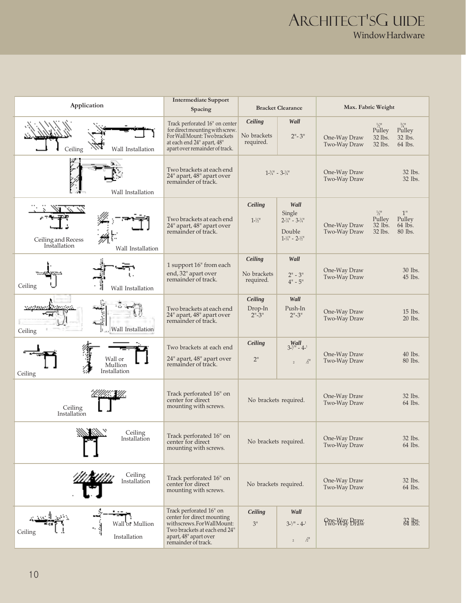|                                                         | <b>Intermediate Support</b>                                                                                                                                       |                                                                       |                                                                                                                    |                              |                                                                                                     |  |  |                              |                    |
|---------------------------------------------------------|-------------------------------------------------------------------------------------------------------------------------------------------------------------------|-----------------------------------------------------------------------|--------------------------------------------------------------------------------------------------------------------|------------------------------|-----------------------------------------------------------------------------------------------------|--|--|------------------------------|--------------------|
| Application                                             | Spacing                                                                                                                                                           | <b>Bracket Clearance</b>                                              |                                                                                                                    |                              | Max. Fabric Weight                                                                                  |  |  |                              |                    |
| Wall Installation<br>Ceiling                            | Track perforated 16" on center<br>for direct mounting with screw.<br>For Wall Mount: Two brackets<br>at each end 24" apart, 48"<br>apart over remainder of track. | Ceiling<br>Wall<br>No brackets<br>$2" - 3"$<br>required.              |                                                                                                                    | One-Way Draw<br>Two-Way Draw | $P^{\frac{1}{2}''}_{ulley}$<br>$\Pr^{\frac{3}{4}''}$<br>32 lbs.<br>32 lbs.<br>32 lbs.<br>64 lbs.    |  |  |                              |                    |
| Wall Installation                                       | Two brackets at each end<br>24" apart, 48" apart over<br>remainder of track.                                                                                      | $1 - \frac{3}{4}$ " - $3 - \frac{1}{4}$ "                             |                                                                                                                    |                              |                                                                                                     |  |  | One-Way Draw<br>Two-Way Draw | 32 lbs.<br>32 lbs. |
| Ceiling and Recess<br>Installation<br>Wall Installation | Two brackets at each end<br>24" apart, 48" apart over<br>remainder of track.                                                                                      | Ceiling<br>$1 - \frac{1}{2}$                                          | Wall<br>Single<br>$2 - \frac{1}{4}$ " - $3 - \frac{1}{4}$ "<br>Double<br>$1 - \frac{1}{4}$ " - $2 - \frac{1}{2}$ " | One-Way Draw<br>Two-Way Draw | $\frac{1}{2}$ <sup>11</sup><br>1"<br>Pulley<br>Pulley<br>$32$ lbs.<br>64 lbs.<br>32 lbs.<br>80 lbs. |  |  |                              |                    |
| Ceiling<br>Wall Installation                            | 1 support 16" from each<br>end, 32" apart over<br>remainder of track.                                                                                             | Wall<br>Ceiling<br>No brackets<br>$2" - 3"$<br>required.<br>$4" - 5"$ |                                                                                                                    | One-Way Draw<br>Two-Way Draw | 30 lbs.<br>45 lbs.                                                                                  |  |  |                              |                    |
| estatest<br>Wall Installation<br>Ceiling                | Two brackets at each end<br>24" apart, 48" apart over<br>remainder of track.                                                                                      | Ceiling<br>Drop-In<br>$2" - 3"$                                       | Wall<br>Push-In<br>$2" - 3"$                                                                                       | One-Way Draw<br>Two-Way Draw | 15 lbs.<br>20 lbs.                                                                                  |  |  |                              |                    |
| Wall or<br>Mullion<br>Installation<br>Ceiling           | Two brackets at each end<br>24" apart, 48" apart over<br>remainder of track.                                                                                      | Ceiling<br>2"                                                         | $3^{1/4}$<br>3-1/ <sup>11</sup> – 4- <sup>1</sup><br>$/2$ <sup>11</sup><br>$\overline{z}$                          | One-Way Draw<br>Two-Way Draw | 40 lbs.<br>80 lbs.                                                                                  |  |  |                              |                    |
| Ceiling<br>Installation                                 | Track perforated 16" on<br>center for direct<br>mounting with screws.                                                                                             | No brackets required.                                                 |                                                                                                                    | One-Way Draw<br>Two-Way Draw | 32 lbs.<br>64 lbs.                                                                                  |  |  |                              |                    |
| Ceiling<br>Installation                                 | Track perforated 16" on<br>center for direct<br>mounting with screws.                                                                                             | No brackets required.                                                 |                                                                                                                    | One-Way Draw<br>Two-Way Draw | 32 lbs.<br>64 lbs.                                                                                  |  |  |                              |                    |
| Ceiling<br>Installation                                 | Track perforated 16" on<br>center for direct<br>mounting with screws.                                                                                             | No brackets required.                                                 |                                                                                                                    | One-Way Draw<br>Two-Way Draw | 32 lbs.<br>64 lbs.                                                                                  |  |  |                              |                    |
| Wall or Mullion<br>Ceiling<br>Installation              | Track perforated 16" on<br>center for direct mounting<br>withscrews.ForWallMount:<br>Two brackets at each end 24"<br>apart, 48" apart over<br>remainder of track. | Ceiling<br>3"                                                         | Wall<br>$3-1/11 - 4-1$<br>$\frac{1}{2}$<br>$\,2$                                                                   | One-Way Draw<br>Two-Way Draw | $\frac{32}{64}$ lbs.                                                                                |  |  |                              |                    |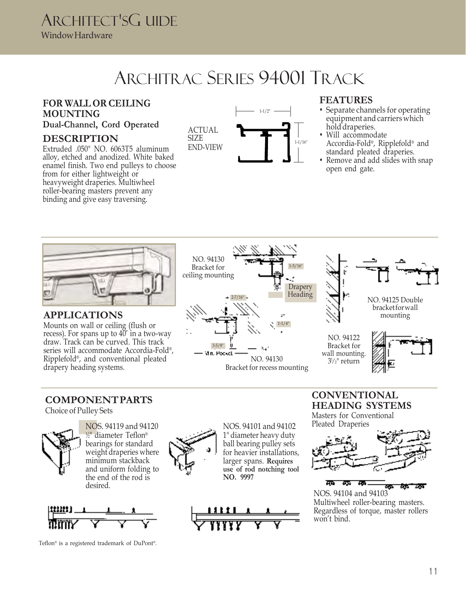## ARCHITRAC SERIES 94001 TRACK

### **FOR WALL OR CEILING MOUNTING**

### **Dual-Channel, Cord Operated**

### **DESCRIPTION**

Extruded .050" NO. 6063T5 aluminum alloy, etched and anodized. White baked enamel finish. Two end pulleys to choose from for either lightweight or heavyweight draperies. Multiwheel roller-bearing masters prevent any binding and give easy traversing.





### **FEATURES**

- Separate channels for operating equipment and carriers which hold draperies.
- Will accommodate Accordia-Fold® , Ripplefold® and standard pleated draperies.
- Remove and add slides with snap open end gate.



**APPLICATIONS**

Mounts on wall or ceiling (flush or recess). For spans up to 40' in a two-way draw. Track can be curved. This track series will accommodate Accordia-Fold® , Ripplefold® , and conventional pleated drapery heading systems.





NO. 94125 Double bracketforwall mounting

NO. 94122 Bracket for wall mounting. 3½" return



### **COMPONENT PARTS**

Choice of Pulley Sets



NOS. 94119 and 94120 1 ⁄2" diameter Teflon® bearings for standard weight draperies where minimum stackback and uniform folding to the end of the rod is desired.



Teflon® is a registered trademark of DuPont® .



NOS. 94101 and 94102 1" diameter heavy duty ball bearing pulley sets for heavier installations, larger spans. **Requires use of rod notching tool NO. 9997**



**CONVENTIONAL HEADING SYSTEMS** Masters for Conventional Pleated Draperies



<u>मध्य स्पर्ध स्पर्ध</u> ला जन ZЪ NOS. 94104 and 94103 Multiwheel roller-bearing masters. Regardless of torque, master rollers won't bind.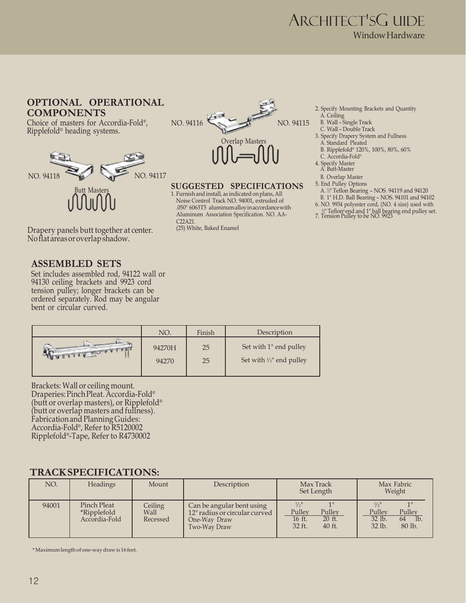### **OPTIONAL OPERATIONAL COMPONENTS**

Choice of masters for Accordia-Fold® , Ripplefold® heading systems.



Drapery panels butt together at center. No flat areas or overlap shadow.

### **ASSEMBLED SETS**

Set includes assembled rod, 94122 wall or 94130 ceiling brackets and 9923 cord tension pulley; longer brackets can be ordered separately. Rod may be angular bent or circular curved.



#### **SUGGESTED SPECIFICATIONS**

1. Furnish and install, as indicated on plans, All Noise Control Track NO. 94001, extruded of .050" 6063T5 aluminum alloy in accordance with Aluminum Association Specification. NO. AA- $C22A21$ 

(25) White, Baked Enamel

- 2. Specify Mounting Brackets and Quantity A. Ceiling
	- B. Wall Single Track
	- C. Wall Double Track
- 3. Specify Drapery System and Fullness A. Standard Pleated
- B. Ripplefold® 120%, 100%, 80%, 60%
- C. Accordia-Fold®
- 4. Specify Master A. Butt-Master
- B. Overlap Master
- 5. End Pulley Options
	- A. <sup>1</sup> ⁄2" Teflon Bearing NOS. 94119 and 94120
- B. 1" H.D. Ball Bearing NOS. 94101 and 94102
- 6. NO. 9934 polyester cord, (NO. 4 size) used with
- 1 ⁄2" Teflon® end and 1" ball bearing end pulley set. 7. Tension Pulley to be NO. 9923
- 

|          | NO.    | Finish | Description                         |
|----------|--------|--------|-------------------------------------|
| MARITIME | 94270H | 25     | Set with 1" end pulley              |
|          | 94270  | 25     | Set with $\frac{1}{2}$ " end pulley |

Brackets: Wall or ceiling mount. Draperies: Pinch Pleat. Accordia-Fold® (butt or overlap masters), or Ripplefold® (butt or overlap masters and fullness). Fabrication and Planning Guides: Accordia-Fold® , Refer to R5120002 Ripplefold® -Tape, Refer to R4730002

### **TRACK SPECIFICATIONS:**

| NO.   | <b>Headings</b>                                    | Mount                       | Description                                                                                | Max Track<br>Set Length                                                         | Max Fabric<br>Weight                                                                                    |
|-------|----------------------------------------------------|-----------------------------|--------------------------------------------------------------------------------------------|---------------------------------------------------------------------------------|---------------------------------------------------------------------------------------------------------|
| 94001 | Pinch Pleat<br><i>*Ripplefold</i><br>Accordia-Fold | Ceiling<br>Wall<br>Recessed | Can be angular bent using<br>12" radius or circular curved<br>One-Way Draw<br>Two-Way Draw | $1/2$ <sup>11</sup><br>Pulley<br>Pulley<br>16 ft.<br>20 ft.<br>32 ft.<br>40 ft. | $1/2$ <sup>11</sup><br>1 <sup>11</sup><br>Pulley<br>Pulley<br>$32$ lb.<br>64<br>Ib.<br>32 lb.<br>80 lb. |

\* Maximum length of one-way draw is 16 feet.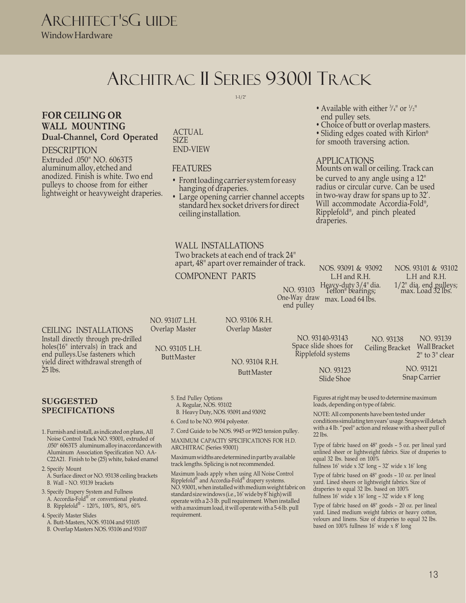### ARCHITRAC II SERIES 93001 TRACK

1-1/2"

### **FOR CEILING OR WALL MOUNTING Dual-Channel, Cord Operated**

#### DESCRIPTION

Extruded .050" NO. 6063T5 aluminum alloy, etched and anodized. Finish is white. Two end pulleys to choose from for either lightweight or heavyweight draperies.

#### ACTUAL SIZE END-VIEW

#### FEATURES

- Front loading carrier system for easy hanging of draperies.
- Large opening carrier channel accepts standard hex socket drivers for direct ceiling installation.

### WALL INSTALLATIONS

Two brackets at each end of track 24" apart, 48" apart over remainder of track.

COMPONENT PARTS

- Available with either  $\frac{3}{4}$ " or  $\frac{1}{2}$ " end pulley sets.
- Choice of butt or overlap masters.

• Sliding edges coated with Kirlon® for smooth traversing action.

#### APPLICATIONS

Mounts on wall or ceiling. Track can be curved to any angle using a 12" radius or circular curve. Can be used in two-way draw for spans up to 32'. Will accommodate Accordia-Fold® , Ripplefold® , and pinch pleated draperies.

CEILING INSTALLATIONS Install directly through pre-drilled holes(16" intervals) in track and end pulleys.Use fasteners which yield direct withdrawal strength of 25 lbs. Butt Master NO. 93123

#### **SUGGESTED SPECIFICATIONS**

1. Furnish and install, as indicated on plans, All Noise Control Track NO. 93001, extruded of .050" 6063T5 aluminum alloy in accordance with Aluminum Association Specification NO. AA-C22A21. Finish to be (25) white, baked enamel

2. Specify Mount

- A. Surface direct or NO. 93138 ceiling brackets B. Wall - NO. 93139 brackets
- 3. Specify Drapery System and Fullness A. Accordia-Fold® or conventional pleated. B. Ripplefold® - 120%, 100%, 80%, 60%
- 4. Specify Master Slides A. Butt-Masters, NOS. 93104 and 93105 B. Overlap Masters NOS. 93106 and 93107

NO. 93107 L.H. Overlap Master

NO. 93105 L.H.

5. End Pulley Options A. Regular, NOS. 93102

ARCHITRAC (Series 93001)

requirement.

B. Heavy Duty, NOS. 93091 and 93092 6. Cord to be NO. 9934 polyester.

7. Cord Guide to be NOS. 9945 or 9923 tension pulley. MAXIMUM CAPACITY SPECIFICATIONS FOR H.D.

Maximum widths are determined in part by available track lengths. Splicing is not recommended. Maximum loads apply when using All Noise Control Ripplefold® and Accordia-Fold® drapery systems. NO. 93001, when installed with medium weight fabric on standard size windows (i.e., 16' wide by8' high) will operate with a 2-3 lb. pull requirement. When installed with a maximum load, it will operate with a 5-6 lb. pull

NO. 93106 R.H. Overlap Master

Butt Master NO. 93104 R.H.

NO. 93103 L.H and R.H. Heavy-duty 3/4" dia. Teflon® bearings; One-Way draw max. Load 64 lbs. end pulley

> NO. 93140-93143 Space slide shoes for Ripplefold systems

> > Slide Shoe

NOS. 93091 & 93092

NOS. 93101 & 93102 L.H and R.H. 1/2" dia. end pulleys; max. Load 32 lbs.

NO. 93139

2" to 3" clear

Figures at right may be used to determine maximum loads, depending on type of fabric.

NOTE: All components have been tested under conditions simulating ten years' usage. Snaps will detach with a 4 lb. "peel" action and release with a sheer pull of 22 lbs.

NO. 93138

Ceiling Bracket Wall Bracket

NO. 93121 Snap Carrier

Type of fabric based on 48" goods – 5 oz. per lineal yard unlined sheer or lightweight fabrics. Size of draperies to equal 32 lbs. based on 100%

fullness  $16'$  wide x  $32'$  long -  $32'$  wide x  $16'$  long

Type of fabric based on 48" goods – 10 oz. per lineal yard. Lined sheers or lightweight fabrics. Size of draperies to equal 32 lbs. based on 100% fullness  $16'$  wide x  $16'$  long  $-32'$  wide x  $8'$  long

Type of fabric based on 48" goods – 20 oz. per lineal yard. Lined medium weight fabrics or heavy cotton, velours and linens. Size of draperies to equal 32 lbs. based on 100% fullness 16' wide x 8' long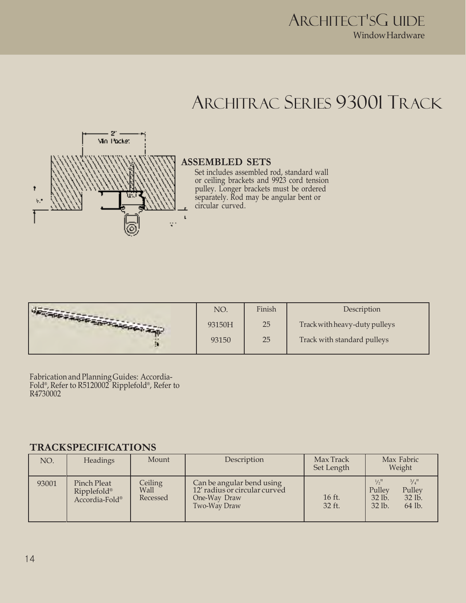### ARCHITRAC SERIES 93001 TRACK



### **ASSEMBLED SETS**

Set includes assembled rod, standard wall or ceiling brackets and 9923 cord tension pulley. Longer brackets must be ordered separately. Rod may be angular bent or circular curved.

|                                    | NO.    | Finish | Description                   |
|------------------------------------|--------|--------|-------------------------------|
| <b>CALIFORNIA AND PERSONAL AND</b> | 93150H | 25     | Track with heavy-duty pulleys |
|                                    | 93150  | 25     | Track with standard pulleys   |

Fabrication and Planning Guides: Accordia-Fold® , Refer to R5120002 Ripplefold® , Refer to R4730002

### **TRACK SPECIFICATIONS**

| NO.   | Headings                                     | Mount                       | Description                                                                                | Max Track<br>Set Length | Max Fabric<br>Weight                                                                                               |
|-------|----------------------------------------------|-----------------------------|--------------------------------------------------------------------------------------------|-------------------------|--------------------------------------------------------------------------------------------------------------------|
| 93001 | Pinch Pleat<br>Ripplefold®<br>Accordia-Fold® | Ceiling<br>Wall<br>Recessed | Can be angular bend using<br>12' radius or circular curved<br>One-Way Draw<br>Two-Way Draw | 16 ft.<br>32 ft.        | $\frac{3}{4}$ <sup>11</sup><br>$1/2$ <sup>11</sup><br>Pulley<br>Pulley<br>$32$ lb.<br>$32$ lb.<br>32 lb.<br>64 lb. |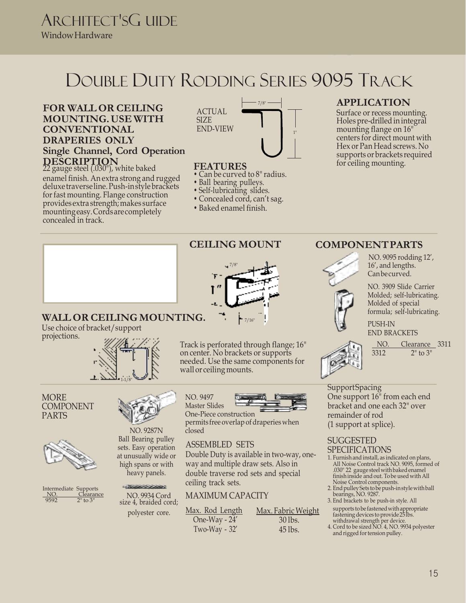## DOUBLE DUTY RODDING SERIES 9095 TRACK

### **FOR WALL OR CEILING MOUNTING. USE WITH CONVENTIONAL DRAPERIES ONLY Single Channel, Cord Operation DESCRIPTION** 22 gauge steel (.030"), white baked

enamel finish. An extra strong and rugged deluxe traverse line. Push-in style brackets for fast mounting. Flange construction provides extra strength; makes surface mounting easy. Cords are completely concealed in track.



### **FEATURES**

- Can be curved to 8" radius.
- Ball bearing pulleys.
- Self-lubricating slides.
- Concealed cord, can't sag.
- Baked enamel finish.

7/8"

 $-7/16"$ 

Track is perforated through flange; 16" on center. No brackets or supports needed. Use the same components for

### **APPLICATION**

Surface or recess mounting. Holes pre-drilled in integral mounting flange on 16" centers for direct mount with Hex or Pan Head screws. No supports or brackets required for ceiling mounting.

### **WALL OR CEILING MOUNTING.**

Use choice of bracket/support projections.



#### **MORE** COMPONENT PARTS







Ball Bearing pulley sets. Easy operation at unusually wide or high spans or with heavy panels.

NO. 9934 Cord size 4, braided cord;

#### NO. 9497 Master Slides



One-Piece construction permits free overlap of draperies when closed

### ASSEMBLED SETS

wall or ceiling mounts.

Double Duty is available in two-way, oneway and multiple draw sets. Also in double traverse rod sets and special ceiling track sets.

### MAXIMUM CAPACITY

polyester core. Max. Rod Length One-Way - 24' Two-Way - 32' Max. Fabric Weight 30 lbs.  $45$  lbs.

### **CEILING MOUNT COMPONENT PARTS**



NO. 9095 rodding 12', 16', and lengths. Can be curved.

NO. 3909 Slide Carrier Molded; self-lubricating. Molded of special formula; self-lubricating.

PUSH-IN END BRACKETS

 $\frac{NO.}{3312}$   $\frac{Clearance}{2" to 3"}$  $2"$  to  $3"$ 

**Support Spacing** One support 16" from each end bracket and one each 32" over remainder of rod (1 support at splice).

#### SUGGESTED SPECIFICATIONS

- 1. Furnish and install, as indicated on plans, All Noise Control track NO. 9095, formed of .030" 22 gauge steel with baked enamel finish inside and out. Tobe used with All Noise Control components.
- 2. End pulley Sets tobe push-in style with ball bearings, NO. 9287.
- 3. End brackets to be push-in style. All supports tobe fastened with appropriate fastening devices to provide 25 lbs.
- withdrawal strength per device. 4. Cord to be sized NO. 4, NO. 9934 polyester
- and rigged for tension pulley.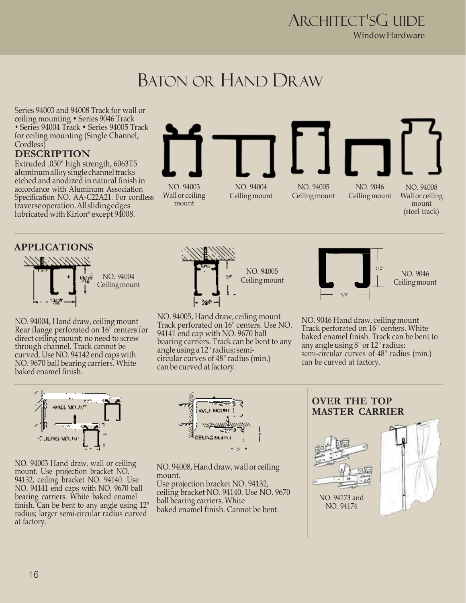### BATON OR HAND DRAW

Series 94003 and 94008 Track for wall or ceiling mounting • Series 9046 Track • Series 94004 Track • Series 94005 Track for ceiling mounting (Single Channel, Cordless)

### **DESCRIPTION**

Extruded .050" high strength, 6063T5 aluminum alloy single channel tracks etched and anodized in natural finish in accordance with Aluminum Association Specification NO. AA-C22A21. For cordless traverse operation. All sliding edges lubricated with Kirlon® except 94008.



### **APPLICATIONS** 1-3/16" NO. 94004 Ceiling mount

NO. 94004, Hand draw, ceiling mount Rear flange perforated on 16" centers for direct ceiling mount; no need to screw through channel. Track cannot be curved. Use NO. 94142 end caps with NO. 9670 ball bearing carriers. White baked enamel finish.



NO. 94005, Hand draw, ceiling mount Track perforated on 16" centers. Use NO. 94141 end cap with NO. 9670 ball bearing carriers. Track can be bent to any angle using a 12" radius; semicircular curves of 48" radius (min.) can be curved at factory.



NO. 9046 Ceiling mount

(steel track)

NO. 9046 Hand draw, ceiling mount Track perforated on 16" centers. White baked enamel finish. Track can be bent to any angle using 8" or 12" radius; semi-circular curves of 48" radius (min.) can be curved at factory.

NO. 94003 Hand draw, wall or ceiling mount. Use projection bracket NO. 94132, ceiling bracket NO. 94140. Use NO. 94141 end caps with NO. 9670 ball bearing carriers. White baked enamel finish. Can be bent to any angle using 12" radius; larger semi-circular radius curved at factory.



NO. 94008, Hand draw, wall or ceiling mount. Use projection bracket NO. 94132, ceiling bracket NO. 94140. Use NO. 9670 ball bearing carriers. White baked enamel finish. Cannot be bent.

### **OVER THE TOP MASTER CARRIER**

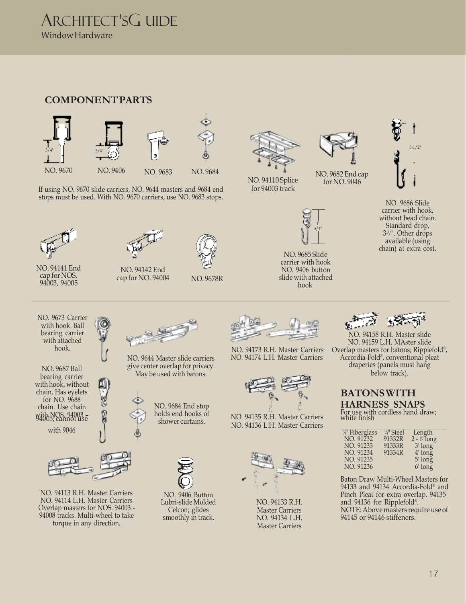### **COMPONENT PARTS**



If using NO. 9670 slide carriers, NO. 9644 masters and 9684 end stops must be used. With NO. 9670 carriers, use NO. 9683 stops.





NO. 94141 End cap for NOS. 94003, 94005

NO. 94142 End cap for NO. 94004 NO. 9678R





NO. 94110 Splice for 94003 track



NO. 9682 End cap for NO. 9046

NO. 9685 Slide carrier with hook NO. 9406 button slide with attached hook.



2 3-<sup>1</sup> ⁄". Other drops NO. 9686 Slide carrier with hook, without bead chain. Standard drop, available (using chain) at extra cost.



NO. 9687 Ball bearing carrier with hook, without chain. Has eyelets for NO. 9688 chain. Use chain with NOS. 94003 – 94005; cannot use

hook.



NO. 94113 R.H. Master Carriers NO. 94114 L.H. Master Carriers Overlap masters for NOS. 94003 - 94008 tracks. Multi-wheel to take torque in any direction.



NO. 9644 Master slide carriers give center overlap for privacy. May be used with batons.



NO. 9406 Button Lubri-slide Molded Celcon; glides smoothly in track.



NO. 94173 R.H. Master Carriers NO. 94174 L.H. Master Carriers



NO. 94135 R.H. Master Carriers with 9046 MO. 94136 L.H. Master Carriers



NO. 94133 R.H. Master Carriers NO. 94134 L.H. Master Carriers



NO. 94158 R.H. Master slide NO. 94159 L.H. MAster slide Overlap masters for batons; Ripplefold® , Accordia-Fold® , conventional pleat draperies (panels must hang below track).

### **BATONS WITH HARNESS SNAPS**

For use with cordless hand draw; white finish

| <sup>3/8</sup> Fiberglass | $\frac{1}{4}$ " Steel | Length                 |
|---------------------------|-----------------------|------------------------|
| NO. 91232                 | 91332R                | $2 - \frac{1}{2}$ long |
| NO. 91233                 | 91333R                | $3'$ long              |
| NO. 91234                 | 91334R                | $4'$ long              |
| NO. 91235                 |                       | $5'$ long              |
| NO. 91236                 |                       | 6' long                |

Baton Draw Multi-Wheel Masters for 94133 and 94134 Accordia-Fold® and Pinch Pleat for extra overlap. 94135 and 94136 for Ripplefold® . NOTE: Above masters require use of 94145 or 94146 stiffeners.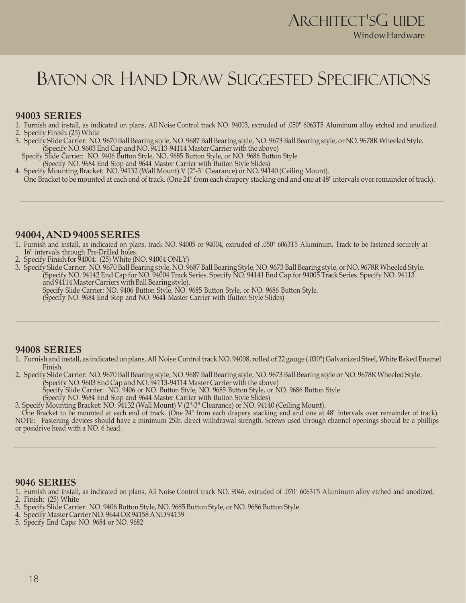### BATON OR HAND DRAW SUGGESTED SPECIFICATIONS

#### **94003 SERIES**

- 1. Furnish and install, as indicated on plans, All Noise Control track NO. 94003, extruded of .050" 6063T5 Aluminum alloy etched and anodized. 2. Specify Finish: (25) White
- 3. Specify Slide Carrier: NO. 9670 Ball Bearing style, NO. 9687 Ball Bearing style, NO. 9673 Ball Bearing style, or NO. 9678R Wheeled Style. (Specify NO. 9603 End Cap and NO. 94113-94114 Master Carrier with the above)
- Specify Slide Carrier: NO. 9406 Button Style, NO. 9685 Button Style, or NO. 9686 Button Style (Specify NO. 9684 End Stop and 9644 Master Carrier with Button Style Slides)
- 4. Specify Mounting Bracket: NO. 94132 (Wall Mount) V (2"-3" Clearance) or NO. 94140 (Ceiling Mount). One Bracket to be mounted at each end of track. (One 24" from each drapery stacking end and one at 48" intervals over remainder of track).

#### **94004, AND 94005 SERIES**

- 1. Furnish and install, as indicated on plans, track NO. 94005 or 94004, extruded of .050" 6063T5 Aluminum. Track to be fastened securely at 16" intervals through Pre-Drilled holes.
- 2. Specify Finish for 94004: (25) White (NO. 94004 ONLY)
- 3. Specify Slide Carrier: NO. 9670 Ball Bearing style, NO. 9687 Ball Bearing Style, NO. 9673 Ball Bearing style, or NO. 9678R Wheeled Style. (Specify NO. 94142 End Cap for NO. 94004 Track Series. Specify NO. 94141 End Cap for 94005 Track Series. Specify NO. 94113 and 94114 Master Carriers with Ball Bearing style).

Specify Slide Carrier: NO. 9406 Button Style, NO. 9685 Button Style, or NO. 9686 Button Style.

(Specify NO. 9684 End Stop and NO. 9644 Master Carrier with Button Style Slides)

#### **94008 SERIES**

- 1. Furnish and install, as indicated on plans, All Noise Control track NO. 94008, rolled of 22 gauge (.030") Galvanized Steel, White Baked Enamel Finish.
- 2. Specify Slide Carrier: NO. 9670 Ball Bearing style, NO. 9687 Ball Bearing style, NO. 9673 Ball Bearing style or NO. 9678R Wheeled Style.
	- (Specify NO. 9603 End Cap and NO. 94113-94114 Master Carrier with the above)
		- Specify Slide Carrier: NO. 9406 or NO. Button Style, NO. 9685 Button Style, or NO. 9686 Button Style
		- (Specify NO. 9684 End Stop and 9644 Master Carrier with Button Style Slides)

3. Specify Mounting Bracket: NO. 94132 (Wall Mount) V (2"-3" Clearance) or NO. 94140 (Ceiling Mount).

One Bracket to be mounted at each end of track. (One 24" from each drapery stacking end and one at 48" intervals over remainder of track). NOTE: Fastening devices should have a minimum 25lb. direct withdrawal strength. Screws used through channel openings should be a phillips or posidrive head with a NO. 6 head.

#### **9046 SERIES**

1. Furnish and install, as indicated on plans, All Noise Control track NO. 9046, extruded of .070" 6063T5 Aluminum alloy etched and anodized.

- 2. Finish: (25) White
- 3. Specify Slide Carrier: NO. 9406 Button Style, NO. 9685 Button Style, or NO. 9686 Button Style.
- 4. Specify Master Carrier NO. 9644 OR 94158 AND 94159
- 5. Specify End Caps: NO. 9684 or NO. 9682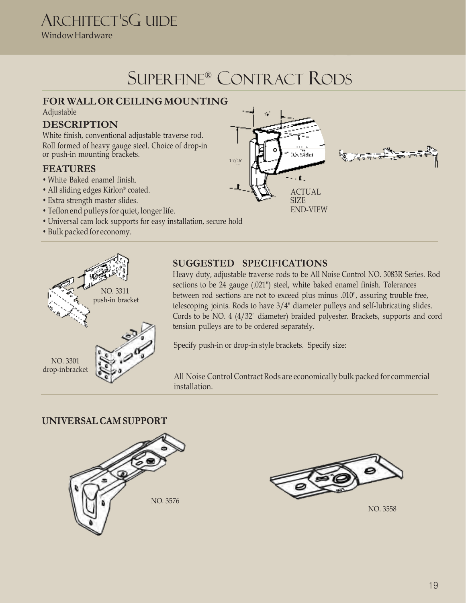### ARCHITECT'SG UIDE

Window Hardware

### SUPERFINE® CONTRACT RODS

 $1 - 7/16$ 

### **FOR WALL OR CEILING MOUNTING** Adjustable

### **DESCRIPTION**

White finish, conventional adjustable traverse rod. Roll formed of heavy gauge steel. Choice of drop-in or push-in mounting brackets.

### **FEATURES**

- White Baked enamel finish.
- All sliding edges Kirlon® coated.
- Extra strength master slides.
- Teflon end pulleys for quiet, longer life.
- Universal cam lock supports for easy installation, secure hold
- Bulk packed for economy.



### **SUGGESTED SPECIFICATIONS**

Heavy duty, adjustable traverse rods to be All Noise Control NO. 3083R Series. Rod Cords to be NO. 4 (4/32" diameter) braided polyester. Brackets, supports and cord tension pulleys are to be ordered separately.

Specify push-in or drop-in style brackets. Specify size:

All Noise Control Contract Rods are economically bulk packed for commercial installation.

### **UNIVERSAL CAM SUPPORT**





NO. 3558

sections to be 24 gauge (.021") steel, white baked enamel finish. Tolerances between rod sections are not to exceed plus minus .010", assuring trouble free, telescoping joints. Rods to have 3/4" diameter pulleys and self-lubricating slides.

ACTUAL SIZE END-VIEW

 $\cdot$  t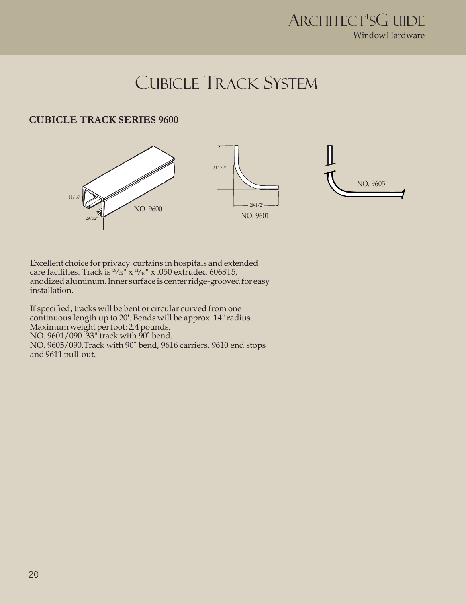### CUBICLE TRACK SYSTEM

### **CUBICLE TRACK SERIES 9600**



Excellent choice for privacy curtains in hospitals and extended care facilities. Track is  $\frac{29}{32}$ " x  $\frac{11}{16}$ " x .050 extruded 6063T5, anodized aluminum. Inner surface is center ridge-grooved for easy installation.

If specified, tracks will be bent or circular curved from one continuous length up to 20'. Bends will be approx. 14" radius. Maximum weight per foot: 2.4 pounds. NO. 9601/090. 33" track with 90˚ bend. NO. 9605/090.Track with 90˚ bend, 9616 carriers, 9610 end stops and 9611 pull-out.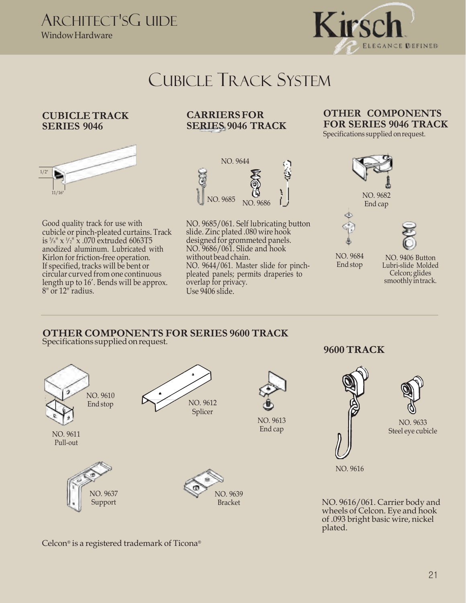

### CUBICLE TRACK SYSTEM

### **CUBICLE TRACK SERIES 9046**



Good quality track for use with cubicle or pinch-pleated curtains. Track is <sup>5</sup> */* 8" x <sup>1</sup> */* 2" x .070 extruded 6063T5 anodized aluminum. Lubricated with Kirlon for friction-free operation. If specified, tracks will be bent or circular curved from one continuous length up to 16'. Bends will be approx. 8" or 12" radius.

### **CARRIERS FOR SERIES 9046 TRACK**



NO. 9685/061. Self lubricating button slide. Zinc plated .080 wire hook designed for grommeted panels. NO. 9686/061. Slide and hook without bead chain. NO. 9644/061. Master slide for pinchpleated panels; permits draperies to overlap for privacy. Use 9406 slide.

### **OTHER COMPONENTS FOR SERIES 9046 TRACK**

Specifications supplied on request.



NO. 9684 End stop

NO. 9406 Button Lubri-slide Molded Celcon; glides smoothly in track.

#### **OTHER COMPONENTS FOR SERIES 9600 TRACK** Specifications supplied on request.



**9600 TRACK**



Bracket NO. 9616/061. Carrier body and wheels of Celcon. Eye and hook of .093 bright basic wire, nickel plated.

Celcon® is a registered trademark of Ticona®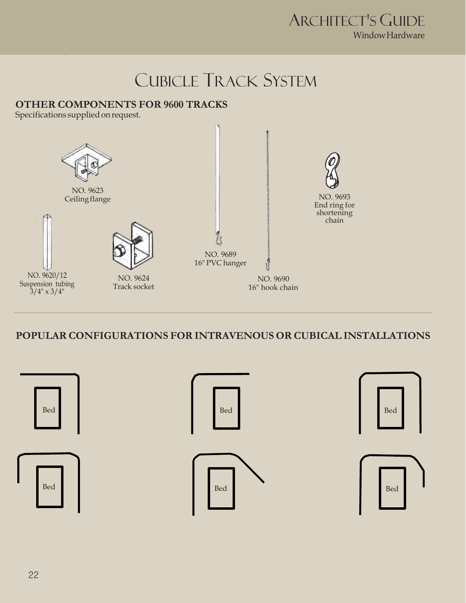### CUBICLE TRACK SYSTEM

### **OTHER COMPONENTS FOR 9600 TRACKS**

Specifications supplied on request.



**POPULAR CONFIGURATIONS FOR INTRAVENOUS OR CUBICAL INSTALLATIONS**